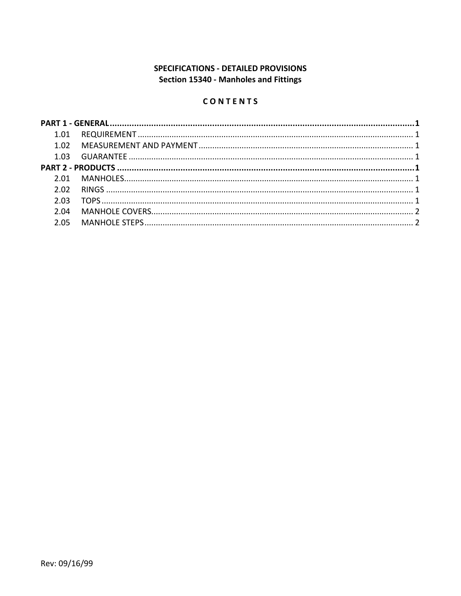# **SPECIFICATIONS - DETAILED PROVISIONS** Section 15340 - Manholes and Fittings

# CONTENTS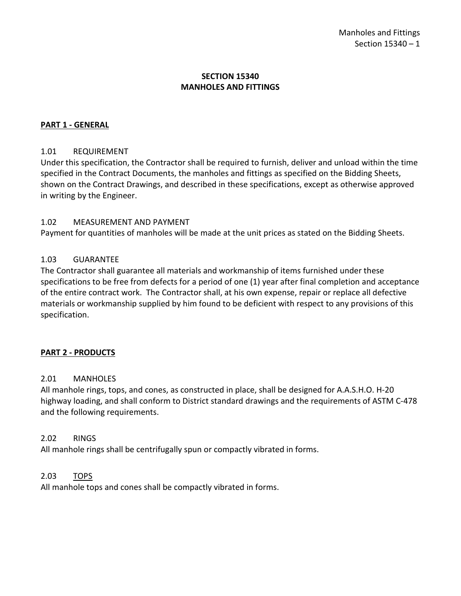# **SECTION 15340 MANHOLES AND FITTINGS**

### <span id="page-2-0"></span>**PART 1 - GENERAL**

#### <span id="page-2-1"></span>1.01 REQUIREMENT

Under this specification, the Contractor shall be required to furnish, deliver and unload within the time specified in the Contract Documents, the manholes and fittings as specified on the Bidding Sheets, shown on the Contract Drawings, and described in these specifications, except as otherwise approved in writing by the Engineer.

#### <span id="page-2-2"></span>1.02 MEASUREMENT AND PAYMENT

Payment for quantities of manholes will be made at the unit prices as stated on the Bidding Sheets.

#### <span id="page-2-3"></span>1.03 GUARANTEE

The Contractor shall guarantee all materials and workmanship of items furnished under these specifications to be free from defects for a period of one (1) year after final completion and acceptance of the entire contract work. The Contractor shall, at his own expense, repair or replace all defective materials or workmanship supplied by him found to be deficient with respect to any provisions of this specification.

#### <span id="page-2-4"></span>**PART 2 - PRODUCTS**

#### <span id="page-2-5"></span>2.01 MANHOLES

All manhole rings, tops, and cones, as constructed in place, shall be designed for A.A.S.H.O. H-20 highway loading, and shall conform to District standard drawings and the requirements of ASTM C-478 and the following requirements.

#### <span id="page-2-6"></span>2.02 RINGS

All manhole rings shall be centrifugally spun or compactly vibrated in forms.

#### <span id="page-2-7"></span>2.03 TOPS

All manhole tops and cones shall be compactly vibrated in forms.